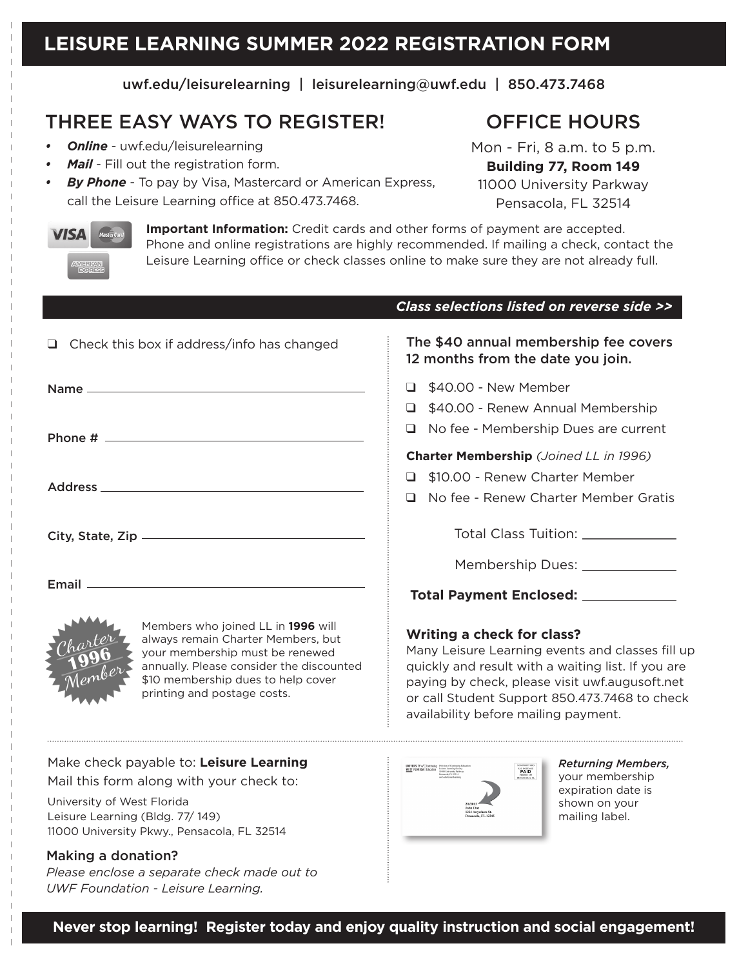uwf.edu/leisurelearning | leisurelearning@uwf.edu | 850.473.7468

# THREE EASY WAYS TO REGISTER!

- *• Online* uwf.edu/leisurelearning
- *• Mail* Fill out the registration form.
- *By Phone* To pay by Visa, Mastercard or American Express, call the Leisure Learning office at 850.473.7468.

OFFICE HOURS

Mon - Fri, 8 a.m. to 5 p.m. **Building 77, Room 149** 11000 University Parkway Pensacola, FL 32514



**Important Information:** Credit cards and other forms of payment are accepted. Phone and online registrations are highly recommended. If mailing a check, contact the Leisure Learning office or check classes online to make sure they are not already full.

|                                                                                                                                                                                                                              | Class selections listed on reverse side >>                                                                                                                                                                                                                                             |
|------------------------------------------------------------------------------------------------------------------------------------------------------------------------------------------------------------------------------|----------------------------------------------------------------------------------------------------------------------------------------------------------------------------------------------------------------------------------------------------------------------------------------|
| Check this box if address/info has changed<br>□.                                                                                                                                                                             | The \$40 annual membership fee covers<br>12 months from the date you join.                                                                                                                                                                                                             |
|                                                                                                                                                                                                                              | \$40.00 - New Member<br>◻                                                                                                                                                                                                                                                              |
|                                                                                                                                                                                                                              | \$40.00 - Renew Annual Membership<br>ப                                                                                                                                                                                                                                                 |
|                                                                                                                                                                                                                              | No fee - Membership Dues are current<br>◻                                                                                                                                                                                                                                              |
|                                                                                                                                                                                                                              | <b>Charter Membership</b> (Joined LL in 1996)                                                                                                                                                                                                                                          |
| Address and the contract of the contract of the contract of the contract of the contract of the contract of the                                                                                                              | \$10.00 - Renew Charter Member                                                                                                                                                                                                                                                         |
|                                                                                                                                                                                                                              | No fee - Renew Charter Member Gratis<br>П                                                                                                                                                                                                                                              |
|                                                                                                                                                                                                                              | Total Class Tuition: _____________                                                                                                                                                                                                                                                     |
|                                                                                                                                                                                                                              | Membership Dues: _____________                                                                                                                                                                                                                                                         |
|                                                                                                                                                                                                                              | Total Payment Enclosed: ____________                                                                                                                                                                                                                                                   |
| Members who joined LL in 1996 will<br>always remain Charter Members, but<br>your membership must be renewed<br>annually. Please consider the discounted<br>\$10 membership dues to help cover<br>printing and postage costs. | <b>Writing a check for class?</b><br>Many Leisure Learning events and classes fill up<br>quickly and result with a waiting list. If you are<br>paying by check, please visit uwf.augusoft.net<br>or call Student Support 850.473.7468 to check<br>availability before mailing payment. |

Make check payable to: **Leisure Learning** Mail this form along with your check to:

University of West Florida Leisure Learning (Bldg. 77/ 149) 11000 University Pkwy., Pensacola, FL 32514

#### Making a donation?

*Please enclose a separate check made out to UWF Foundation - Leisure Learning.*



*Returning Members,* your membership expiration date is shown on your mailing label.